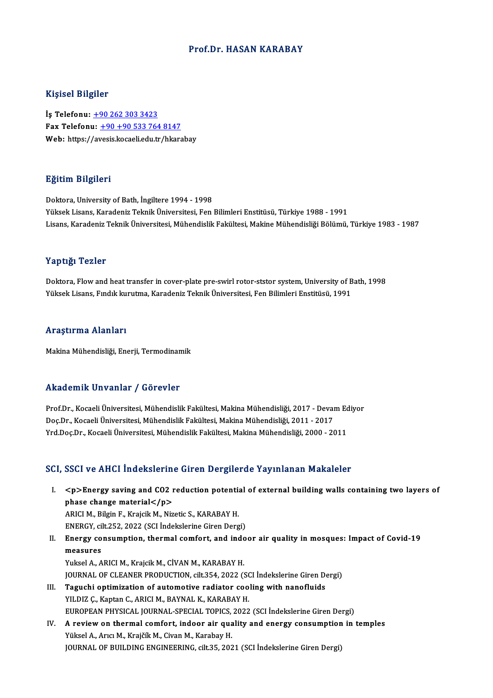### Prof.Dr.HASAN KARABAY

### Kişisel Bilgiler

İş Telefonu: +90 262 303 3423 Fax Telefonu:  $+90 +90 533 764 8147$ Web: https:/[/av](tel:+90 262 303 3423)[esis.kocaeli.edu.tr/hkar](tel:+90 +90 533 764 8147)abay

### Eğitim Bilgileri

Doktora, University of Bath, İngiltere 1994 - 1998 Yüksek Lisans, Karadeniz Teknik Üniversitesi, Fen Bilimleri Enstitüsü, Türkiye 1988 - 1991 Lisans, Karadeniz Teknik Üniversitesi, Mühendislik Fakültesi, Makine Mühendisliği Bölümü, Türkiye 1983 - 1987

### Yaptığı Tezler

Yaptığı Tezler<br>Doktora, Flow and heat transfer in cover-plate pre-swirl rotor-ststor system, University of Bath, 1998<br>Yükaek Lisene, Eudik kunutme, Karadeniz Teknik Üniversitesi, Een Bilimkaj Enstitücü, 1991 Yüpsegi Yözise<br>Doktora, Flow and heat transfer in cover-plate pre-swirl rotor-ststor system, University of B<br>Yüksek Lisans, Fındık kurutma, Karadeniz Teknik Üniversitesi, Fen Bilimleri Enstitüsü, 1991 Yüksek Lisans, Fındık kurutma, Karadeniz Teknik Üniversitesi, Fen Bilimleri Enstitüsü, 1991<br>Araştırma Alanları

Makina Mühendisliği, Enerji, Termodinamik

### Akademik Unvanlar / Görevler

Prof.Dr., Kocaeli Üniversitesi, Mühendislik Fakültesi, Makina Mühendisliği, 2017 - Devam Ediyor rında olirin "Oli valifat" yı dövlevler<br>Prof.Dr., Kocaeli Üniversitesi, Mühendislik Fakültesi, Makina Mühendisliği, 2017 - Deval<br>Doç.Dr., Kocaeli Üniversitesi, Mühendislik Fakültesi, Makina Mühendisliği, 2011 - 2017<br>Yrd Do Prof.Dr., Kocaeli Üniversitesi, Mühendislik Fakültesi, Makina Mühendisliği, 2017 - Devam Ec<br>Doç.Dr., Kocaeli Üniversitesi, Mühendislik Fakültesi, Makina Mühendisliği, 2011 - 2017<br>Yrd.Doç.Dr., Kocaeli Üniversitesi, Mühendis Yrd.Doç.Dr., Kocaeli Üniversitesi, Mühendislik Fakültesi, Makina Mühendisliği, 2000 - 2011<br>SCI, SSCI ve AHCI İndekslerine Giren Dergilerde Yayınlanan Makaleler

I. <p>Energy saving and CO2 reduction potential of external building wal s containing two layers of  $p>$  Energy saving and CO2 replace change material  $p>$   $\Delta$  DICI M. Bilgin E. Explicit M. Nig. <p>Energy saving and CO2 reduction potenti;<br>phase change material</p><br>ARICI M., Bilgin F., Krajcik M., Nizetic S., KARABAY H.<br>ENEPCY sitt 252, 2022 (SCL indekslorine Ciren Derg phase change material</p><br>ARICI M., Bilgin F., Krajcik M., Nizetic S., KARABAY H.<br>ENERGY, cilt.252, 2022 (SCI İndekslerine Giren Dergi)

ARICI M., Bilgin F., Krajcik M., Nizetic S., KARABAY H.<br>ENERGY, cilt.252, 2022 (SCI İndekslerine Giren Dergi)<br>II. Energy consumption, thermal comfort, and indoor air quality in mosques: Impact of Covid-19<br>mossumes ENERGY, ci<br>Energy co<br>measures<br>Yuksel A. A Energy consumption, thermal comfort, and indo<br>measures<br>Yuksel A., ARICI M., Krajcik M., CİVAN M., KARABAY H.<br>JOUPMAL OE CLEANER PRODUCTION, cit-254, 2022 (S measures<br>Yuksel A., ARICI M., Krajcik M., CİVAN M., KARABAY H.<br>JOURNAL OF CLEANER PRODUCTION, cilt.354, 2022 (SCI İndekslerine Giren Dergi)<br>Tagyabi ontimisation of automative radiator seoling with nanofluids

- Yuksel A., ARICI M., Krajcik M., CİVAN M., KARABAY H.<br>JOURNAL OF CLEANER PRODUCTION, cilt.354, 2022 (SCI İndekslerine Giren D.<br>III. Taguchi optimization of automotive radiator cooling with nanofluids<br>YILDIZ C., Kaptan JOURNAL OF CLEANER PRODUCTION, cilt.354, 2022 (SC)<br>Taguchi optimization of automotive radiator coo<br>YILDIZ Ç., Kaptan C., ARICI M., BAYNAL K., KARABAY H.<br>FUROPEAN PHYSICAL JOUPNAL SPECIAL TOPICS 2022 Taguchi optimization of automotive radiator cooling with nanofluids<br>YILDIZ Ç., Kaptan C., ARICI M., BAYNAL K., KARABAY H.<br>EUROPEAN PHYSICAL JOURNAL-SPECIAL TOPICS, 2022 (SCI İndekslerine Giren Dergi)<br>A review on thermal se
- IV. A review on thermal comfort, indoor air quality and energy consumption in temples<br>Yüksel A., Arıcı M., Krajčík M., Civan M., Karabay H. EUROPEAN PHYSICAL JOURNAL-SPECIAL TOPICS,<br>A review on thermal comfort, indoor air qua<br>Yüksel A., Arıcı M., Krajčík M., Civan M., Karabay H.<br>JOUPNAL OF PUU DING ENGINEERING, silt 25, 202 JOURNAL OF BUILDING ENGINEERING, cilt.35, 2021 (SCI İndekslerine Giren Dergi)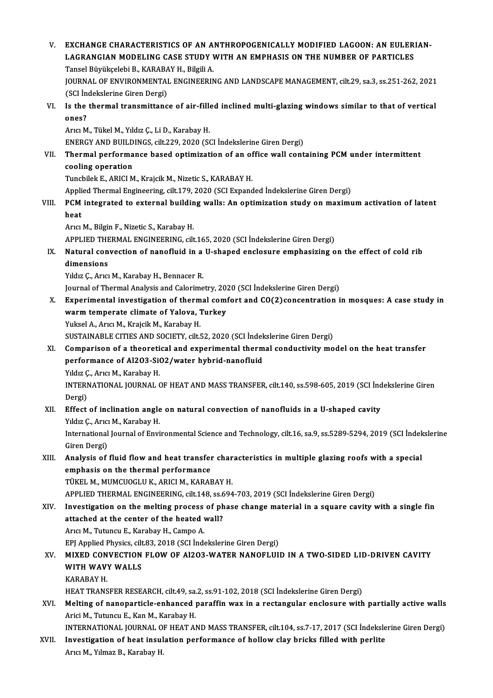V. EXCHANGE CHARACTERISTICS OF AN ANTHROPOGENICALLYMODIFIED LAGOON: AN EULERIAN-EXCHANGE CHARACTERISTICS OF AN ANTHROPOGENICALLY MODIFIED LAGOON: AN EULERI<br>LAGRANGIAN MODELING CASE STUDY WITH AN EMPHASIS ON THE NUMBER OF PARTICLES<br>Tangel Büyükçeleki B. KARARAY H. Bilgili A EXCHANGE CHARACTERISTICS OF AN A<br>LAGRANGIAN MODELING CASE STUDY V<br>Tansel Büyükçelebi B., KARABAY H., Bilgili A.<br>JOUPNAL OF ENVUDONMENTAL ENCINEEPIN JOURNAL OF ENVIRONMENTAL ENGINEERING AND LANDSCAPE MANAGEMENT, cilt.29, sa.3, ss.251-262, 2021<br>(SCI İndekslerine Giren Dergi) Tansel Büyükçelebi B., KARABAY H., Bilgili A. JOURNAL OF ENVIRONMENTAL ENGINEERING AND LANDSCAPE MANAGEMENT, cilt.29, sa.3, ss.251-262, 2021<br>(SCI Indekslerine Giren Dergi)<br>VI. Is the thermal transmittance of air-filled inclined multi-glazing windows similar to that of SCI in<br>Is the<br>ones?<br>Argy M Is the thermal transmittance of air-fille<br>ones?<br>Arıcı M., Tükel M., Yıldız Ç., Li D., Karabay H.<br>ENEPCY AND PULLDINCS silt 229, 2020 (SC ones?<br>Arıcı M., Tükel M., Yıldız Ç., Li D., Karabay H.<br>ENERGY AND BUILDINGS, cilt.229, 2020 (SCI İndekslerine Giren Dergi) Arıcı M., Tükel M., Yıldız Ç., Li D., Karabay H.<br>ENERGY AND BUILDINGS, cilt.229, 2020 (SCI İndekslerine Giren Dergi)<br>VII. Thermal performance based optimization of an office wall containing PCM under intermittent<br>cooli ENERGY AND BUILD<br>Thermal performa<br>cooling operation<br>Tungbilek E ABICLM Thermal performance based optimization of an of<br>cooling operation<br>Tuncbilek E., ARICI M., Krajcik M., Nizetic S., KARABAY H.<br>Applied Thermal Engineering cilt 179, 2020 (SCL Expans cooling operation<br>Tuncbilek E., ARICI M., Krajcik M., Nizetic S., KARABAY H.<br>Applied Thermal Engineering, cilt.179, 2020 (SCI Expanded İndekslerine Giren Dergi) Tuncbilek E., ARICI M., Krajcik M., Nizetic S., KARABAY H.<br>Applied Thermal Engineering, cilt.179, 2020 (SCI Expanded Indekslerine Giren Dergi)<br>VIII. PCM integrated to external building walls: An optimization study on maxim Appli<br>PCM<br>heat heat<br>Arıcı M., Bilgin F., Nizetic S., Karabay H. heat<br>Arıcı M., Bilgin F., Nizetic S., Karabay H.<br>APPLIED THERMAL ENGINEERING, cilt.165, 2020 (SCI İndekslerine Giren Dergi)<br>Natural convection of nanofluid in a U shaned englasure emnhasising e IX. Natural convection of nanofluid in a U-shaped enclosure emphasizing on the effect of cold rib **APPLIED THE<br>Natural con<br>dimensions** Yıldız Ç., Arıcı M., Karabay H., Bennacer R. di<mark>mensions</mark><br>Yıldız Ç., Arıcı M., Karabay H., Bennacer R.<br>Journal of Thermal Analysis and Calorimetry, 2020 (SCI İndekslerine Giren Dergi)<br>Experimental investigation of thermal comfort and CO(?) sensentration i Yıldız Ç., Arıcı M., Karabay H., Bennacer R.<br>Journal of Thermal Analysis and Calorimetry, 2020 (SCI İndekslerine Giren Dergi)<br>X. Experimental investigation of thermal comfort and CO(2)concentration in mosques: A case study Journal of Thermal Analysis and Calorimetry, 20.<br>Experimental investigation of thermal com<br>warm temperate climate of Yalova, Turkey<br>Yuksel A. Arisi M. Kraisik M. Karabay H. Experimental investigation of therm<br>warm temperate climate of Yalova, 1<br>Yuksel A., Arıcı M., Krajcik M., Karabay H.<br>SUSTAINARLE CITIES AND SOCIETY cilt i warm temperate climate of Yalova, Turkey<br>Yuksel A., Arıcı M., Krajcik M., Karabay H.<br>SUSTAINABLE CITIES AND SOCIETY, cilt.52, 2020 (SCI İndekslerine Giren Dergi)<br>Comparison of a theoratisel and evnerimental thermal sondust Yuksel A., Arıcı M., Krajcik M., Karabay H.<br>SUSTAINABLE CITIES AND SOCIETY, cilt.52, 2020 (SCI İndekslerine Giren Dergi)<br>XI. Comparison of a theoretical and experimental thermal conductivity model on the heat transfer<br>Perf SUSTAINABLE CITIES AND SOCIETY, cilt.52, 2020 (SCI İndek<br>Comparison of a theoretical and experimental therm<br>performance of Al2O3-SiO2/water hybrid-nanofluid<br>Vidir C. Aris M. Karabay H Comparison of a theoreti<br>performance of Al2O3-Si<br>Yıldız Ç., Arıcı M., Karabay H.<br>INTERNATIONAL JOURNAL ( performance of Al2O3-SiO2/water hybrid-nanofluid<br>Yıldız Ç., Arıcı M., Karabay H.<br>INTERNATIONAL JOURNAL OF HEAT AND MASS TRANSFER, cilt.140, ss.598-605, 2019 (SCI İndekslerine Giren<br>Dergi) Yıldız Ç<br>INTERI<br>Dergi)<br>Effect INTERNATIONAL JOURNAL OF HEAT AND MASS TRANSFER, cilt.140, ss.598-605, 2019 (SCI ind<br>Dergi)<br>XII. Effect of inclination angle on natural convection of nanofluids in a U-shaped cavity<br>Viduz C. Arist M. Karabay H Dergi)<br>XII. Effect of inclination angle on natural convection of nanofluids in a U-shaped cavity<br>Yıldız Ç., Arıcı M., Karabay H. Effect of inclination angle on natural convection of nanofluids in a U-shaped cavity<br>Yıldız Ç., Arıcı M., Karabay H.<br>International Journal of Environmental Science and Technology, cilt.16, sa.9, ss.5289-5294, 2019 (SCI İnd Yıldız Ç., Arıcı<br>International<br>Giren Dergi)<br>Analygia of International Journal of Environmental Science and Technology, cilt.16, sa.9, ss.5289-5294, 2019 (SCI İndek<br>Giren Dergi)<br>XIII. Analysis of fluid flow and heat transfer characteristics in multiple glazing roofs with a speci Giren Dergi)<br>Analysis of fluid flow and heat transfer<br>emphasis on the thermal performance<br>TÜKEL M. MUMCUOCLUK, APICLM, KARAE Analysis of fluid flow and heat transfer chare<br>
emphasis on the thermal performance<br>
TÜKEL M., MUMCUOGLU K., ARICI M., KARABAY H.<br>
APPLIED THEPMAL ENCINEEPING sit 149 ss 694 emphasis on the thermal performance<br>TÜKEL M., MUMCUOGLU K., ARICI M., KARABAY H.<br>APPLIED THERMAL ENGINEERING, cilt.148, ss.694-703, 2019 (SCI İndekslerine Giren Dergi)<br>Investigation on the melting process of phase change m TÜKEL M., MUMCUOGLU K., ARICI M., KARABAY H.<br>APPLIED THERMAL ENGINEERING, cilt.148, ss.694-703, 2019 (SCI Indekslerine Giren Dergi)<br>XIV. Investigation on the melting process of phase change material in a square cavity with APPLIED THERMAL ENGINEERING, cilt.148, ss.6<br>Investigation on the melting process of ph<br>attached at the center of the heated wall?<br>Aris M. Tutungu E. Karabay H. Campo A. Arıcı M., Tutuncu E., Karabay H., Campo A. attached at the center of the heated wall?<br>Arici M., Tutuncu E., Karabay H., Campo A.<br>EPJ Applied Physics, cilt.83, 2018 (SCI İndekslerine Giren Dergi)<br>MIXED CONVECTION ELOW OF A1202 WATER NANOELUU Arıcı M., Tutuncu E., Karabay H., Campo A.<br>EPJ Applied Physics, cilt.83, 2018 (SCI İndekslerine Giren Dergi)<br>XV. MIXED CONVECTION FLOW OF Al2O3-WATER NANOFLUID IN A TWO-SIDED LID-DRIVEN CAVITY<br>WITH WAVY WALLS EPJ Applied Physics, cilt<br>MIXED CONVECTION<br>WITH WAVY WALLS<br>KARAPAY H MIXED CON<br>WITH WAV<br>KARABAY H.<br>HEAT TRANS WITH WAVY WALLS<br>KARABAY H.<br>HEAT TRANSFER RESEARCH, cilt.49, sa.2, ss.91-102, 2018 (SCI İndekslerine Giren Dergi)<br>Melting of nanonantiale onbanaad nanaffin way in a nastangular analosune with KARABAY H.<br>HEAT TRANSFER RESEARCH, cilt.49, sa.2, ss.91-102, 2018 (SCI İndekslerine Giren Dergi)<br>XVI. Melting of nanoparticle-enhanced paraffin wax in a rectangular enclosure with partially active walls<br>Arisi M. Tutureu E. HEAT TRANSFER RESEARCH, cilt.49, sa.<br>Melting of nanoparticle-enhanced <sub>]</sub><br>Arici M., Tutuncu E., Kan M., Karabay H.<br>INTERNATIONAL JOURNAL OF HEAT A! Melting of nanoparticle-enhanced paraffin wax in a rectangular enclosure with partially active walls<br>Arici M., Tutuncu E., Kan M., Karabay H.<br>INTERNATIONAL JOURNAL OF HEAT AND MASS TRANSFER, cilt.104, ss.7-17, 2017 (SCI İn Arici M., Tutuncu E., Kan M., Karabay H.<br>INTERNATIONAL JOURNAL OF HEAT AND MASS TRANSFER, cilt.104, ss.7-17, 2017 (SCI İndeksle<br>XVII. Investigation of heat insulation performance of hollow clay bricks filled with perlite<br>A INTERNATIONAL JOURNAL OF HEAT AND MASS TRANSFER, cilt.104, ss.7-17, 2017 (SCI Indekslerine Giren Dergi)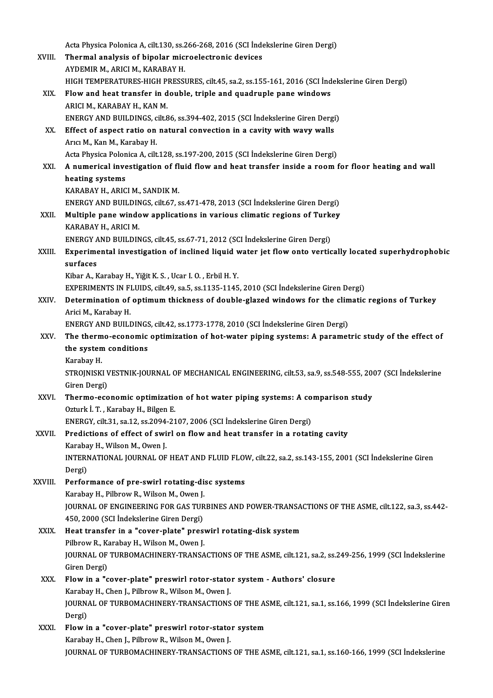Acta Physica Polonica A, cilt.130, ss.266-268, 2016 (SCI İndekslerine Giren Dergi)<br>Thermal analysis of hinelar misroelastranis devises Acta Physica Polonica A, cilt.130, ss.266-268, 2016 (SCI İnde<br>XVIII. Thermal analysis of bipolar microelectronic devices Acta Physica Polonica A, cilt.130, ss.<mark>2</mark><br>Thermal analysis of bipolar mic.<br>AYDEMIR M., ARICI M., KARABAY H.<br>HICH TEMBERATURES HICH PRESSI Thermal analysis of bipolar microelectronic devices<br>AYDEMIR M., ARICI M., KARABAY H.<br>HIGH TEMPERATURES-HIGH PRESSURES, cilt.45, sa.2, ss.155-161, 2016 (SCI İndekslerine Giren Dergi)<br>Flow and best transfor in double, triple AYDEMIR M., ARICI M., KARABAY H.<br>HIGH TEMPERATURES-HIGH PRESSURES, cilt.45, sa.2, ss.155-161, 2016 (SCI Ind<br>XIX. Flow and heat transfer in double, triple and quadruple pane windows<br>ARICI M.. KARABAY H.. KAN M. HIGH TEMPERATURES-HIGH P<br>Flow and heat transfer in d<br>ARICI M., KARABAY H., KAN M.<br>ENEPCY AND PHILDINGS cilt S Flow and heat transfer in double, triple and quadruple pane windows<br>ARICI M., KARABAY H., KAN M.<br>ENERGY AND BUILDINGS, cilt.86, ss.394-402, 2015 (SCI İndekslerine Giren Dergi)<br>Effect of aspect ratio on natural convection i XX. Effect of aspect ratio on natural convection in a cavity with wavy walls<br>Arici M., Kan M., Karabav H. ENERGY AND BUILDINGS, c<br>Effect of aspect ratio on<br>Arıcı M., Kan M., Karabay H.<br>Acta Physica Bolanica A. cilt Effect of aspect ratio on natural convection in a cavity with wavy walls<br>Arıcı M., Kan M., Karabay H.<br>Acta Physica Polonica A, cilt.128, ss.197-200, 2015 (SCI İndekslerine Giren Dergi)<br>A numerisal investisation of fluid fl Arıcı M., Kan M., Karabay H.<br>Acta Physica Polonica A, cilt.128, ss.197-200, 2015 (SCI İndekslerine Giren Dergi)<br>XXI. A numerical investigation of fluid flow and heat transfer inside a room for floor heating and wall<br>he Acta Physica Polon<br><mark>A numerical inve</mark><br>heating systems<br>KARARAY H. ARIC **A numerical investigation of fl<br>heating systems<br>KARABAY H., ARICI M., SANDIK M.<br>ENEPCY AND PUU DINCS silt 67 s** heating systems<br>KARABAY H., ARICI M., SANDIK M.<br>ENERGY AND BUILDINGS, cilt.67, ss.471-478, 2013 (SCI İndekslerine Giren Dergi)<br>Multiple nane window annligations in verieve elimetis negions of Turkey. KARABAY H., ARICI M., SANDIK M.<br>ENERGY AND BUILDINGS, cilt.67, ss.471-478, 2013 (SCI İndekslerine Giren Dergi)<br>XXII. Multiple pane window applications in various climatic regions of Turkey<br>KARARAY H. ARICI M. ENERGY AND BUILDIN<br>Multiple pane windo<br>KARABAY H., ARICI M.<br>ENERCY AND BUILDIN Multiple pane window applications in various climatic regions of Turk<br>KARABAY H., ARICI M.<br>ENERGY AND BUILDINGS, cilt.45, ss.67-71, 2012 (SCI İndekslerine Giren Dergi)<br>Eunenimental investisation of inclined liquid water is KARABAY H., ARICI M.<br>ENERGY AND BUILDINGS, cilt.45, ss.67-71, 2012 (SCI İndekslerine Giren Dergi)<br>XXIII. Experimental investigation of inclined liquid water jet flow onto vertically located superhydrophobic<br>aurfaces ENERGY<br>Experime<br>surfaces<br>Eiber A. E Experimental investigation of inclined liquid v<br>surfaces<br>Kibar A., Karabay H., Yiğit K. S. , Ucar I. O. , Erbil H. Y.<br>EXPERIMENTS IN ELUIDS, silt 40, se 5, se 1125, 1145 surfaces<br>Kibar A., Karabay H., Yiğit K. S. , Ucar I. O. , Erbil H. Y.<br>EXPERIMENTS IN FLUIDS, cilt.49, sa.5, ss.1135-1145, 2010 (SCI İndekslerine Giren Dergi)<br>Determination of ontimum thickness of double glazed windows for Kibar A., Karabay H., Yiğit K. S. , Ucar I. O. , Erbil H. Y.<br>EXPERIMENTS IN FLUIDS, cilt.49, sa.5, ss.1135-1145, 2010 (SCI İndekslerine Giren Dergi)<br>XXIV. Determination of optimum thickness of double-glazed windows for the EXPERIMENTS IN FI<br>Determination of<br>Arici M., Karabay H.<br>ENEPCY AND PHILL Determination of optimum thickness of double-glazed windows for the clim<br>Arici M., Karabay H.<br>ENERGY AND BUILDINGS, cilt.42, ss.1773-1778, 2010 (SCI İndekslerine Giren Dergi)<br>The therme esenemis entimization of het water n Arici M., Karabay H.<br>ENERGY AND BUILDINGS, cilt.42, ss.1773-1778, 2010 (SCI İndekslerine Giren Dergi)<br>XXV. The thermo-economic optimization of hot-water piping systems: A parametric study of the effect of<br>the system so ENERGY AND BUILDINGS, cilt.42, ss.1773-1778, 2010 (SCI Indekslerine Giren Dergi)<br>The thermo-economic optimization of hot-water piping systems: A paramet<br>the system conditions<br>Karabav H. The therm<br>the system<br>Karabay H.<br>STROINISKI the system conditions<br>Karabay H.<br>STROJNISKI VESTNIK-JOURNAL OF MECHANICAL ENGINEERING, cilt.53, sa.9, ss.548-555, 2007 (SCI İndekslerine Karabay H.<br>STROJNISKI V<br>Giren Dergi)<br>Tharma 200 STROJNISKI VESTNIK-JOURNAL OF MECHANICAL ENGINEERING, cilt.53, sa.9, ss.548-555, 20<br>Giren Dergi)<br>XXVI. Thermo-economic optimization of hot water piping systems: A comparison study<br>Orturk <sup>i</sup>. T. Karabay H. Bilgan E. Giren Dergi)<br>**Thermo-economic optimizatic**<br>Ozturk İ. T. , Karabay H., Bilgen E.<br>ENEDCV. silt 21. sa 12. sa 2004.21 Thermo-economic optimization of hot water piping systems: A co<br>Ozturk İ. T. , Karabay H., Bilgen E.<br>ENERGY, cilt.31, sa.12, ss.2094-2107, 2006 (SCI İndekslerine Giren Dergi)<br>Predistions of offect of surinl on flow and best Ozturk İ. T. , Karabay H., Bilgen E.<br>ENERGY, cilt.31, sa.12, ss.2094-2107, 2006 (SCI İndekslerine Giren Dergi)<br>XXVII. Predictions of effect of swirl on flow and heat transfer in a rotating cavity<br>Karabay H., Wilson M., Owe ENERGY, cilt.31, sa.12, ss.2094<br>Predictions of effect of swi<br>Karabay H., Wilson M., Owen J.<br>INTERNATIONAL JOURNAL OF Predictions of effect of swirl on flow and heat transfer in a rotating cavity<br>Karabay H., Wilson M., Owen J.<br>INTERNATIONAL JOURNAL OF HEAT AND FLUID FLOW, cilt.22, sa.2, ss.143-155, 2001 (SCI İndekslerine Giren<br>Persi) Karaba<br>INTERI<br>Dergi)<br>Perfer Dergi)<br>XXVIII. Performance of pre-swirl rotating-disc systems Dergi)<br>Performance of pre-swirl rotating-di:<br>Karabay H., Pilbrow R., Wilson M., Owen J.<br>JOUPNAL OF ENCINEERING FOR GAS TUR JOURNAL OF ENGINEERING FOR GAS TURBINES AND POWER-TRANSACTIONS OF THE ASME, cilt.122, sa.3, ss.442-450, 2000 (SCI Indekslerine Giren Dergi) Karabay H., Pilbrow R., Wilson M., Owen J.<br>JOURNAL OF ENGINEERING FOR GAS TUR<br>450, 2000 (SCI İndekslerine Giren Dergi)<br>Heat transfor in a "sover plate" presi JOURNAL OF ENGINEERING FOR GAS TURBINES AND POWER-TRANSA<br>450, 2000 (SCI Indekslerine Giren Dergi)<br>XXIX. Heat transfer in a "cover-plate" preswirl rotating-disk system<br>Bilbrow B. Karabay H. Wilson M. Quon J. 450, 2000 (SCI İndekslerine Giren Dergi)<br>Heat transfer in a "cover-plate" pres<br>Pilbrow R., Karabay H., Wilson M., Owen J.<br>JOUPNAL OF TUPPOMACHINERY TRANSA JOURNAL OF TURBOMACHINERY-TRANSACTIONS OF THE ASME, cilt.121, sa.2, ss.249-256, 1999 (SCI İndekslerine<br>Giren Dergi) Pilbrow R., Karabay H., Wilson M., Owen J. JOURNAL OF TURBOMACHINERY-TRANSACTIONS OF THE ASME, cilt.121, sa.2, ss.<br>Giren Dergi)<br>XXX. Flow in a "cover-plate" preswirl rotor-stator system - Authors' closure<br>Karabay H. Chan J. Bilbrow B. Wilson M. Quan J. Giren Dergi)<br>Flow in a "cover-plate" preswirl rotor-stato<br>Karabay H., Chen J., Pilbrow R., Wilson M., Owen J.<br>JOUPNAL OF TUPPOMACHINERY TRANSACTIONS Flow in a "cover-plate" preswirl rotor-stator system - Authors' closure<br>Karabay H., Chen J., Pilbrow R., Wilson M., Owen J.<br>JOURNAL OF TURBOMACHINERY-TRANSACTIONS OF THE ASME, cilt.121, sa.1, ss.166, 1999 (SCI İndekslerine Karaba<br>JOURN<br>Dergi)<br>Elow i JOURNAL OF TURBOMACHINERY-TRANSACTIONS OF THE AS<br>Dergi)<br>XXXI. Flow in a "cover-plate" preswirl rotor-stator system<br>Karabay H. Chan L. Bilbrow B. Wilson M. Quan L. Dergi)<br>Flow in a "cover-plate" preswirl rotor-stator system<br>Karabay H., Chen J., Pilbrow R., Wilson M., Owen J. JOURNAL OF TURBOMACHINERY-TRANSACTIONS OF THE ASME, cilt.121, sa.1, ss.160-166, 1999 (SCI İndekslerine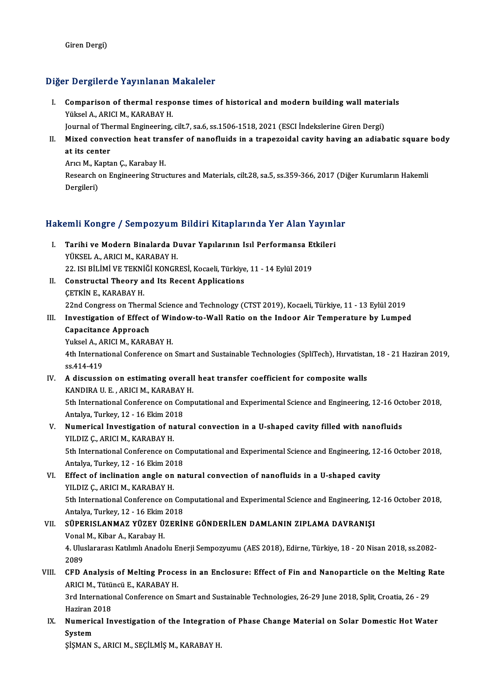### Diğer Dergilerde Yayınlanan Makaleler

Iger Dergilerde Yayınlanan Makaleler<br>I. Comparison of thermal response times of historical and modern building wall materials<br>Wikeel A. ABICLM, KARARAY H Yüksel A., ARICI M., KARABAY H.<br>Vüksel A., ARICI M., KARABAY H.<br>Journal of Thormal Engineering Comparison of thermal response times of historical and modern building wall mater<br>Yüksel A., ARICI M., KARABAY H.<br>Journal of Thermal Engineering, cilt.7, sa.6, ss.1506-1518, 2021 (ESCI İndekslerine Giren Dergi)<br>Mixed conve

Yüksel A., ARICI M., KARABAY H.<br>Journal of Thermal Engineering, cilt.7, sa.6, ss.1506-1518, 2021 (ESCI İndekslerine Giren Dergi)<br>II. Mixed convection heat transfer of nanofluids in a trapezoidal cavity having an adiaba Journal of Thermal Engineering, cilt.7, sa.6, ss.1506-1518, 2021 (ESCI İndekslerine Giren Dergi)<br>Mixed convection heat transfer of nanofluids in a trapezoidal cavity having an adiab<br>at its center<br>Arici M., Kaptan C., Karab Mixed convection heat tran<br>at its center<br>Arıcı M., Kaptan Ç., Karabay H.<br>Bessarsh en Engineering Strue

at its center<br>Arıcı M., Kaptan Ç., Karabay H.<br>Research on Engineering Structures and Materials, cilt.28, sa.5, ss.359-366, 2017 (Diğer Kurumların Hakemli Arıcı M., K.<br>Research o<br>Dergileri)

# bergueri)<br>Hakemli Kongre / Sempozyum Bildiri Kitaplarında Yer Alan Yayınlar

- akemli Kongre / Sempozyum Bildiri Kitaplarında Yer Alan Yayınl<br>I. Tarihi ve Modern Binalarda Duvar Yapılarının Isıl Performansa Etkileri<br>VÜKSEL A ARICI M. KARARAY H YAHI KOH<sub>B</sub>EC 7 SOMPOZJAM<br>Tarihi ve Modern Binalarda D<br>YÜKSEL A., ARICI M., KARABAY H.<br>22 ISL PİLİMİ VE TEKNİĞİ KONCP Tarihi ve Modern Binalarda Duvar Yapılarının Isıl Performansa Et<br>YÜKSEL A., ARICI M., KARABAY H.<br>22. ISI BİLİMİ VE TEKNİĞİ KONGRESİ, Kocaeli, Türkiye, 11 - 14 Eylül 2019<br>Constructal Theory and Its Bosont Annlisations 22. ISI BİLİMİ VE TEKNİĞİ KONGRESİ, Kocaeli, Türkiye, 11 - 14 Eylül 2019
- YÜKSEL A., ARICI M., KARABAY H.<br>22. ISI BİLİMİ VE TEKNİĞİ KONGRESİ, Kocaeli, Türkiye<br>II. Constructal Theory and Its Recent Applications<br>CETKİN E., KARABAY H. Constructal Theory and Its Recent Applications<br>ÇETKİN E., KARABAY H.<br>22nd Congress on Thermal Science and Technology (CTST 2019), Kocaeli, Türkiye, 11 - 13 Eylül 2019<br>Investigation of Effect of Window to Wall Batie en the CETKIN E., KARABAY H.<br>22nd Congress on Thermal Science and Technology (CTST 2019), Kocaeli, Türkiye, 11 - 13 Eylül 2019<br>III. Investigation of Effect of Window-to-Wall Ratio on the Indoor Air Temperature by Lumped<br>Conseitan

# III. Investigation of Effect of Window-to-Wall Ratio on the Indoor Air Temperature by Lumped<br>Capacitance Approach<br>Yuksel A., ARICI M., KARABAY H.

# **22nd Congress on Therm:<br>Investigation of Effect<br>Capacitance Approach**<br>Vulgel A. APICLM, KAPAI

Capacitance Approach<br>Yuksel A., ARICI M., KARABAY H.<br>4th International Conference on Smart and Sustainable Technologies (SpliTech), Hırvatistan, 18 - 21 Haziran 2019, Yuksel A., Al<br>4th Internat<br>ss.414-419<br>A discussi IV. A discussion on estimating overall heat transfer coefficient for composite walls<br>IV. A discussion on estimating overall heat transfer coefficient for composite walls<br>IV. A discussion on estimating overall heat transfer

- ss.414-419<br>A discussion on estimating overall<br>KANDIRA U.E., ARICI M., KARABAY H.<br>Eth International Conference on Comn A discussion on estimating overall heat transfer coefficient for composite walls<br>KANDIRA U. E. , ARICI M., KARABAY H.<br>5th International Conference on Computational and Experimental Science and Engineering, 12-16 October 20 KANDIRA U. E. , ARICI M., KARABAY<br>5th International Conference on Co<br>Antalya, Turkey, 12 - 16 Ekim 2018<br>Numerisel Investigation of natu 5th International Conference on Computational and Experimental Science and Engineering, 12-16 Oct<br>Antalya, Turkey, 12 - 16 Ekim 2018<br>V. Numerical Investigation of natural convection in a U-shaped cavity filled with nanoflu
- Antalya, Turkey, 12 16 Ekim 2018<br>V. Numerical Investigation of natural convection in a U-shaped cavity filled with nanofluids<br>YILDIZ Ç., ARICI M., KARABAY H. Numerical Investigation of natural convection in a U-shaped cavity filled with nanofluids<br>YILDIZ Ç., ARICI M., KARABAY H.<br>5th International Conference on Computational and Experimental Science and Engineering, 12-16 Octobe YILDIZ Ç., ARICI M., KARABAY H.<br>5th International Conference on Co<br>Antalya, Turkey, 12 - 16 Ekim 2018<br>Effect of inclination angle on na
- 5th International Conference on Computational and Experimental Science and Engineering, 12-<br>Antalya, Turkey, 12 16 Ekim 2018<br>VI. Effect of inclination angle on natural convection of nanofluids in a U-shaped cavity<br>VII DI Antalya, Turkey, 12 - 16 Ekim 20<br>Effect of inclination angle on<br>YILDIZ Ç., ARICI M., KARABAY H.<br>Eth International Conference on Effect of inclination angle on natural convection of nanofluids in a U-shaped cavity<br>YILDIZ Ç., ARICI M., KARABAY H.<br>5th International Conference on Computational and Experimental Science and Engineering, 12-16 October 201 YILDIZ Ç., ARICI M., KARABAY H.<br>5th International Conference on Co<br>Antalya, Turkey, 12 - 16 Ekim 2018<br>SÜRERISI ANMAZ VÜZEV ÜZERLI Antalya, Turkey, 12 - 16 Ekim 2018

## VII. SÜPERISLANMAZ YÜZEY ÜZERİNE GÖNDERİLEN DAMLANIN ZIPLAMA DAVRANIŞI<br>Vonal M., Kibar A., Karabay H. SÜPERISLANMAZ YÜZEY ÜZERİNE GÖNDERİLEN DAMLANIN ZIPLAMA DAVRANIŞI<br>Vonal M., Kibar A., Karabay H.<br>4. Uluslararası Katılımlı Anadolu Enerji Sempozyumu (AES 2018), Edirne, Türkiye, 18 - 20 Nisan 2018, ss.2082-<br>2080 Vonal<br>4. Ulus<br>2089<br>CED 4. Uluslararası Katılımlı Anadolu Enerji Sempozyumu (AES 2018), Edirne, Türkiye, 18 - 20 Nisan 2018, ss.2082-<br>2089<br>VIII. CFD Analysis of Melting Process in an Enclosure: Effect of Fin and Nanoparticle on the Melting Rate<br>A

2089<br>CFD Analysis of Melting Proce<br>ARICI M., Tütüncü E., KARABAY H.<br><sup>2nd Intonnational Conference on S</sup> CFD Analysis of Melting Process in an Enclosure: Effect of Fin and Nanoparticle on the Melting R<br>ARICI M., Tütüncü E., KARABAY H.<br>3rd International Conference on Smart and Sustainable Technologies, 26-29 June 2018, Split,

ARICI M., Tütüncü E., KARABAY H.<br>3rd International Conference on Smart and Sustainable Technologies, 26-29 June 2018, Split, Croatia, 26 - 29<br>Haziran 2018 3rd International Conference on Smart and Sustainable Technologies, 26-29 June 2018, Split, Croatia, 26 - 29<br>Haziran 2018<br>IX. Numerical Investigation of the Integration of Phase Change Material on Solar Domestic Hot Water<br>

Haziran 2<br><mark>Numerio</mark><br>System<br>sisMAN 9 Numerical Investigation of the Integratio:<br>System<br>ŞİŞMAN S., ARICI M., SEÇİLMİŞ M., KARABAY H.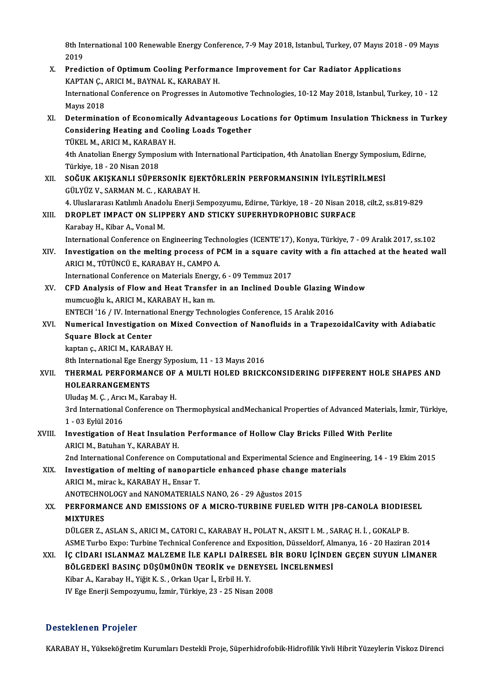8th International 100 Renewable Energy Conference, 7-9 May 2018, Istanbul, Turkey, 07 Mayıs 2018 - 09 Mayıs<br>2019 8th In<br>2019<br>Predi 8th International 100 Renewable Energy Conference, 7-9 May 2018, Istanbul, Turkey, 07 Mayıs 2018<br>2019<br>X. Prediction of Optimum Cooling Performance Improvement for Car Radiator Applications<br> $V_{ADPAN}$ C. APICLM, BAYNAL V. VARA

2019<br>Prediction of Optimum Cooling Performa<br>KAPTAN Ç., ARICI M., BAYNAL K., KARABAY H.<br>International Conference on Progresses in Aut X. Prediction of Optimum Cooling Performance Improvement for Car Radiator Applications<br>KAPTAN Ç., ARICI M., BAYNAL K., KARABAY H.<br>International Conference on Progresses in Automotive Technologies, 10-12 May 2018, Istanbul, KAPTAN Ç., *I*<br>Internationa<br>Mayıs 2018<br>Determinat International Conference on Progresses in Automotive Technologies, 10-12 May 2018, Istanbul, Turkey, 10 - 12<br>Mayıs 2018<br>XI. Determination of Economically Advantageous Locations for Optimum Insulation Thickness in Turkey<br>Co Mayıs 2018<br>Determination of Economically Advantageous Loc<br>Considering Heating and Cooling Loads Together<br>TÜKEL M. ARICLM, KARARAY H Determination of Economical<br>Considering Heating and Cool<br>TÜKEL M., ARICI M., KARABAY H.<br>4th Anatolian Energy Symnosium Considering Heating and Cooling Loads Together<br>TÜKEL M., ARICI M., KARABAY H.<br>4th Anatolian Energy Symposium with International Participation, 4th Anatolian Energy Symposium, Edirne,<br>Türkiye 18 - 20 Nisan 2018

TÜKEL M., ARICI M., KARABA<br>4th Anatolian Energy Sympo<br>Türkiye, 18 - 20 Nisan 2018<br>SOĞUK AKISKANLI SÜPER 4th Anatolian Energy Symposium with International Participation, 4th Anatolian Energy Symposi<br>Türkiye, 18 - 20 Nisan 2018<br>XII. SOĞUK AKIŞKANLI SÜPERSONİK EJEKTÖRLERİN PERFORMANSININ İYİLEŞTİRİLMESİ<br>CÜLYÜZ V. SARMAN M.C. KA

Türkiye, 18 - 20 Nisan 2018<br>XII. SOĞUK AKIŞKANLI SÜPERSONİK EJEKTÖRLERİN PERFORMANSININ İYİLEŞTİRİLMESİ<br>GÜLYÜZ V., SARMAN M. C. , KARABAY H. SOĞUK AKIŞKANLI SÜPERSONİK EJEKTÖRLERİN PERFORMANSININ İYİLEŞTİRİLMESİ<br>GÜLYÜZ V., SARMAN M. C. , KARABAY H.<br>4. Uluslararası Katılımlı Anadolu Enerji Sempozyumu, Edirne, Türkiye, 18 - 20 Nisan 2018, cilt.2, ss.819-829<br>PROPL GÜLYÜZ V., SARMAN M. C. , KARABAY H.<br>4. Uluslararası Katılımlı Anadolu Enerji Sempozyumu, Edirne, Türkiye, 18 - 20 Nisan 201<br>XIII. DROPLET IMPACT ON SLIPPERY AND STICKY SUPERHYDROPHOBIC SURFACE<br>Karabay H. Kibar A. Vanal M.

## 4. Uluslararası Katılımlı Anado<br>DROPLET IMPACT ON SLIP<br>Karabay H., Kibar A., Vonal M.<br>International Conference on E XIII. DROPLET IMPACT ON SLIPPERY AND STICKY SUPERHYDROPHOBIC SURFACE<br>Karabay H., Kibar A., Vonal M.<br>International Conference on Engineering Technologies (ICENTE'17), Konya, Türkiye, 7 - 09 Aralık 2017, ss.102 Karabay H., Kibar A., Vonal M.<br>International Conference on Engineering Technologies (ICENTE'17), Konya, Türkiye, 7 - 09 Aralık 2017, ss.102<br>APICI M. TÜTÜNCÜ E. KARARAY H. CAMRO A.

- International Conference on Engineering Tech<br>Investigation on the melting process of P<br>ARICI M., TÜTÜNCÜ E., KARABAY H., CAMPO A.<br>International Conference on Materials Energy. Investigation on the melting process of PCM in a square cavi<br>ARICI M., TÜTÜNCÜ E., KARABAY H., CAMPO A.<br>International Conference on Materials Energy, 6 - 09 Temmuz 2017<br>CED Analysis of Flow and Heat Transfor in an Inslined International Conference on Materials Energy, 6 - 09 Temmuz 2017
- ARICI M., TÜTÜNCÜ E., KARABAY H., CAMPO A.<br>International Conference on Materials Energy, 6 09 Temmuz 2017<br>XV. CFD Analysis of Flow and Heat Transfer in an Inclined Double Glazing Window<br>mumcuoğlu k., ARICI M., KARABAY H. CFD Analysis of Flow and Heat Transfer in an Inclined Double Glazing V<br>mumcuoğlu k., ARICI M., KARABAY H., kan m.<br>ENTECH '16 / IV. International Energy Technologies Conference, 15 Aralık 2016<br>Numerical Investigation on Mix mumcuoğlu k., ARICI M., KARABAY H., kan m.<br>ENTECH '16 / IV. International Energy Technologies Conference, 15 Aralık 2016<br>XVI. Numerical Investigation on Mixed Convection of Nanofluids in a TrapezoidalCavity with Adiaba

## ENTECH '16 / IV. Internati<br>Numerical Investigation<br>Square Block at Center<br>Iratan a ABICLM, KABAB **Numerical Investigation on N<br>Square Block at Center<br>kaptan ç., ARICI M., KARABAY H.<br><sup>9th Intornational Ege Energy Syr**</sup> Square Block at Center<br>kaptan ç., ARICI M., KARABAY H.<br>8th International Ege Energy Syposium, 11 - 13 Mayıs 2016<br>THERMAL REREORMANCE OF A MILLTI HOLED RRICK

## kaptan ç., ARICI M., KARABAY H.<br>8th International Ege Energy Syposium, 11 - 13 Mayıs 2016<br>XVII. THERMAL PERFORMANCE OF A MULTI HOLED BRICKCONSIDERING DIFFERENT HOLE SHAPES AND<br>HOLEARRANCEMENTS 8th International Ege Ener<br>THERMAL PERFORMAN<br>HOLEARRANGEMENTS THERMAL PERFORMANCE OF<br>HOLEARRANGEMENTS<br>Uludaş M. Ç. , Arıcı M., Karabay H.<br><sup>2nd</sup> International Conference on <sup>1</sup>

HOLEARRANGEMENTS<br>Uludaş M. Ç. , Arıcı M., Karabay H.<br>3rd International Conference on Thermophysical andMechanical Properties of Advanced Materials, İzmir, Türkiye, Uludaș M. Ç. , Arıc<br>3rd International<br>1 - 03 Eylül 2016<br>Investisation of 3rd International Conference on Thermophysical andMechanical Properties of Advanced Materials<br>1 - 03 Eylül 2016<br>XVIII. Investigation of Heat Insulation Performance of Hollow Clay Bricks Filled With Perlite<br>ABICI M. Batuban

## 1 - 03 Eylül 2016<br>Investigation of Heat Insulatio<br>ARICI M., Batuhan Y., KARABAY H.<br>2nd International Conference on G Investigation of Heat Insulation Performance of Hollow Clay Bricks Filled With Perlite<br>ARICI M., Batuhan Y., KARABAY H.<br>2nd International Conference on Computational and Experimental Science and Engineering, 14 - 19 Ekim 2

ARICI M., Batuhan Y., KARABAY H.<br>2nd International Conference on Computational and Experimental Science and Engingulary<br>XIX. Investigation of melting of nanoparticle enhanced phase change materials<br>ARICI M., mirac k., KARA 2nd International Conference on Compu<br>Investigation of melting of nanopart<br>ARICI M., mirac k., KARABAY H., Ensar T.<br>ANOTECHNOLOCY and NANOMATERIAL Investigation of melting of nanoparticle enhanced phase chang<br>ARICI M., mirac k., KARABAY H., Ensar T.<br>ANOTECHNOLOGY and NANOMATERIALS NANO, 26 - 29 Ağustos 2015<br>REREORMANCE AND EMISSIONS OF A MICRO TURRINE EUELED

## XX. PERFORMANCE AND EMISSIONS OF A MICRO-TURBINE FUELED WITH JP8-CANOLA BIODIESEL<br>MIXTURES ANOTECHN<mark><br>PERFORMA</mark><br>MIXTURES<br>DÜLCEP 7 PERFORMANCE AND EMISSIONS OF A MICRO-TURBINE FUELED WITH JP8-CANOLA BIODIE:<br>MIXTURES<br>DÜLGER Z., ASLAN S., ARICI M., CATORI C., KARABAY H., POLAT N., AKSIT I. M. , SARAÇ H. İ. , GOKALP B.<br>ASME Turba Evro: Turbina Tachnisal

MIXTURES<br>DÜLGER Z., ASLAN S., ARICI M., CATORI C., KARABAY H., POLAT N., AKSIT I. M. , SARAÇ H. İ. , GOKALP B.<br>ASME Turbo Expo: Turbine Technical Conference and Exposition, Düsseldorf, Almanya, 16 - 20 Haziran 2014<br>İC CİDA DÜLGER Z., ASLAN S., ARICI M., CATORI C., KARABAY H., POLAT N., AKSIT I. M. , SARAÇ H. İ. , GOKALP B.<br>ASME Turbo Expo: Turbine Technical Conference and Exposition, Düsseldorf, Almanya, 16 - 20 Haziran 2014<br>XXI. İÇ CİDARI I

## ASME Turbo Expo: Turbine Technical Conference and Exposition, Düsseldorf, Almanya, 16 - 20 Haziran 2014<br>İÇ CİDARI ISLANMAZ MALZEME İLE KAPLI DAİRESEL BİR BORU İÇİNDEN GEÇEN SUYUN LİMANE<br>BÖLGEDEKİ BASINÇ DÜŞÜMÜNÜN TEORİK ve İÇ CİDARI ISLANMAZ MALZEME İLE KAPLI DAİRE<br>BÖLGEDEKİ BASINÇ DÜŞÜMÜNÜN TEORİK ve DEN<br>Kibar A., Karabay H., Yiğit K. S. , Orkan Uçar İ., Erbil H. Y.<br>W. Ege Enerji Samnazzumu, İsmir Türkiye 22 - 25 Nisar BÖLGEDEKİ BASINÇ DÜŞÜMÜNÜN TEORİK ve DENEYSEL İNCELENMESİ<br>Kibar A., Karabay H., Yiğit K. S. , Orkan Uçar İ., Erbil H. Y.<br>IV Ege Enerji Sempozyumu, İzmir, Türkiye, 23 - 25 Nisan 2008

### Desteklenen Projeler

KARABAY H., Yükseköğretim Kurumları Destekli Proje, Süperhidrofobik-Hidrofilik Yivli Hibrit Yüzeylerin Viskoz Direnci